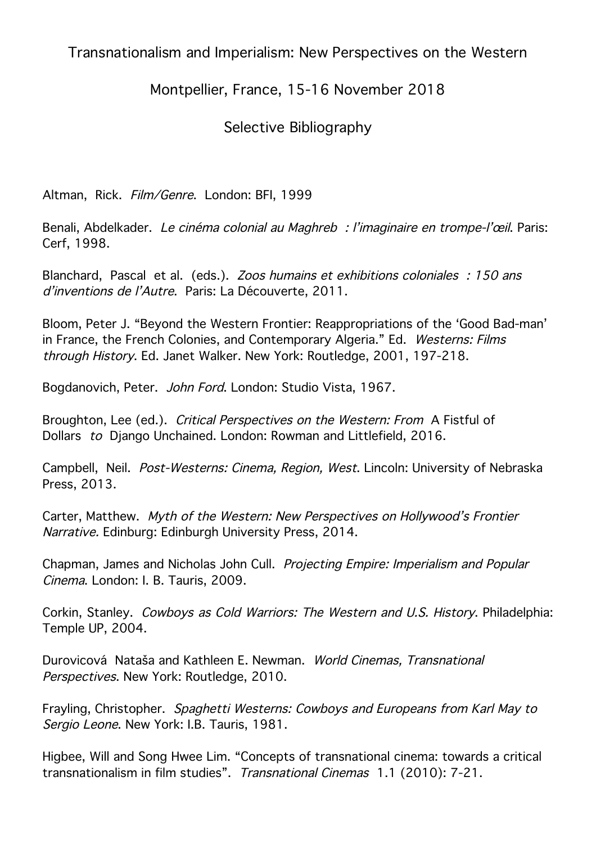Transnationalism and Imperialism: New Perspectives on the Western

## Montpellier, France, 15-16 November 2018

## Selective Bibliography

Altman, Rick. Film/Genre. London: BFI, 1999

Benali, Abdelkader. Le cinéma colonial au Maghreb : l'imaginaire en trompe-l'œil. Paris: Cerf, 1998.

Blanchard, Pascal et al. (eds.). Zoos humains et exhibitions coloniales : 150 ans d'inventions de l'Autre. Paris: La Découverte, 2011.

Bloom, Peter J. "Beyond the Western Frontier: Reappropriations of the 'Good Bad-man' in France, the French Colonies, and Contemporary Algeria." Ed. Westerns: Films through History. Ed. Janet Walker. New York: Routledge, 2001, 197-218.

Bogdanovich, Peter. John Ford. London: Studio Vista, 1967.

Broughton, Lee (ed.). Critical Perspectives on the Western: From A Fistful of Dollars to Django Unchained. London: Rowman and Littlefield, 2016.

Campbell, Neil. Post-Westerns: Cinema, Region, West. Lincoln: University of Nebraska Press, 2013.

Carter, Matthew. Myth of the Western: New Perspectives on Hollywood's Frontier Narrative. Edinburg: Edinburgh University Press, 2014.

Chapman, James and Nicholas John Cull. Projecting Empire: Imperialism and Popular Cinema. London: I. B. Tauris, 2009.

Corkin, Stanley. Cowboys as Cold Warriors: The Western and U.S. History. Philadelphia: Temple UP, 2004.

Durovicová Nataša and Kathleen E. Newman. World Cinemas, Transnational Perspectives. New York: Routledge, 2010.

Frayling, Christopher. Spaghetti Westerns: Cowboys and Europeans from Karl May to Sergio Leone. New York: I.B. Tauris, 1981.

Higbee, Will and Song Hwee Lim. "Concepts of transnational cinema: towards a critical transnationalism in film studies". Transnational Cinemas 1.1 (2010): 7-21.